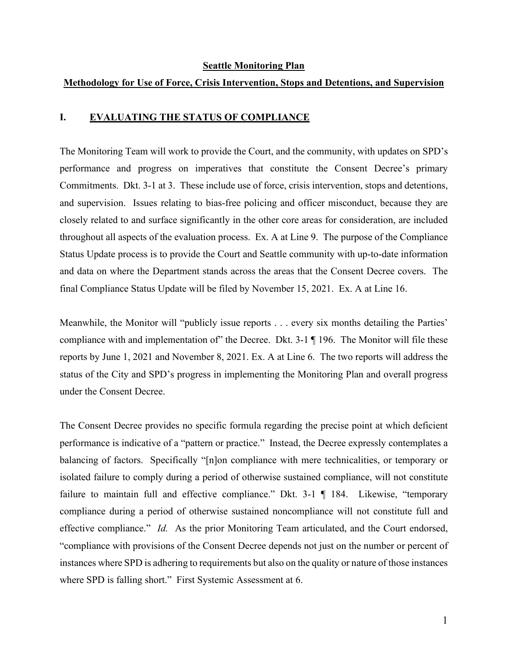#### **Seattle Monitoring Plan**

#### **Methodology for Use of Force, Crisis Intervention, Stops and Detentions, and Supervision**

#### **I. EVALUATING THE STATUS OF COMPLIANCE**

The Monitoring Team will work to provide the Court, and the community, with updates on SPD's performance and progress on imperatives that constitute the Consent Decree's primary Commitments. Dkt. 3-1 at 3. These include use of force, crisis intervention, stops and detentions, and supervision. Issues relating to bias-free policing and officer misconduct, because they are closely related to and surface significantly in the other core areas for consideration, are included throughout all aspects of the evaluation process. Ex. A at Line 9. The purpose of the Compliance Status Update process is to provide the Court and Seattle community with up-to-date information and data on where the Department stands across the areas that the Consent Decree covers. The final Compliance Status Update will be filed by November 15, 2021. Ex. A at Line 16.

Meanwhile, the Monitor will "publicly issue reports . . . every six months detailing the Parties' compliance with and implementation of" the Decree. Dkt. 3-1 ¶ 196. The Monitor will file these reports by June 1, 2021 and November 8, 2021. Ex. A at Line 6. The two reports will address the status of the City and SPD's progress in implementing the Monitoring Plan and overall progress under the Consent Decree.

The Consent Decree provides no specific formula regarding the precise point at which deficient performance is indicative of a "pattern or practice." Instead, the Decree expressly contemplates a balancing of factors. Specifically "[n]on compliance with mere technicalities, or temporary or isolated failure to comply during a period of otherwise sustained compliance, will not constitute failure to maintain full and effective compliance." Dkt. 3-1 ¶ 184. Likewise, "temporary compliance during a period of otherwise sustained noncompliance will not constitute full and effective compliance." *Id.* As the prior Monitoring Team articulated, and the Court endorsed, "compliance with provisions of the Consent Decree depends not just on the number or percent of instances where SPD is adhering to requirements but also on the quality or nature of those instances where SPD is falling short." First Systemic Assessment at 6.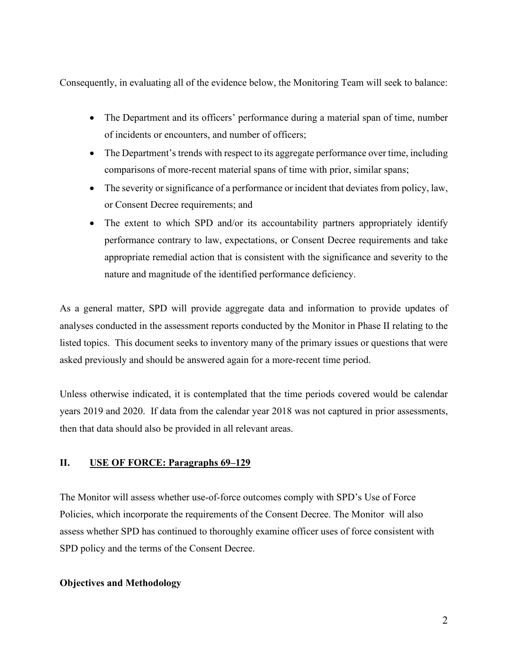Consequently, in evaluating all of the evidence below, the Monitoring Team will seek to balance:

- The Department and its officers' performance during a material span of time, number of incidents or encounters, and number of officers;
- The Department's trends with respect to its aggregate performance over time, including comparisons of more-recent material spans of time with prior, similar spans;
- The severity or significance of a performance or incident that deviates from policy, law, or Consent Decree requirements; and
- The extent to which SPD and/or its accountability partners appropriately identify performance contrary to law, expectations, or Consent Decree requirements and take appropriate remedial action that is consistent with the significance and severity to the nature and magnitude of the identified performance deficiency.

As a general matter, SPD will provide aggregate data and information to provide updates of analyses conducted in the assessment reports conducted by the Monitor in Phase II relating to the listed topics. This document seeks to inventory many of the primary issues or questions that were asked previously and should be answered again for a more-recent time period.

Unless otherwise indicated, it is contemplated that the time periods covered would be calendar years 2019 and 2020. If data from the calendar year 2018 was not captured in prior assessments, then that data should also be provided in all relevant areas.

## **II. USE OF FORCE: Paragraphs 69–129**

The Monitor will assess whether use-of-force outcomes comply with SPD's Use of Force Policies, which incorporate the requirements of the Consent Decree. The Monitor will also assess whether SPD has continued to thoroughly examine officer uses of force consistent with SPD policy and the terms of the Consent Decree.

#### **Objectives and Methodology**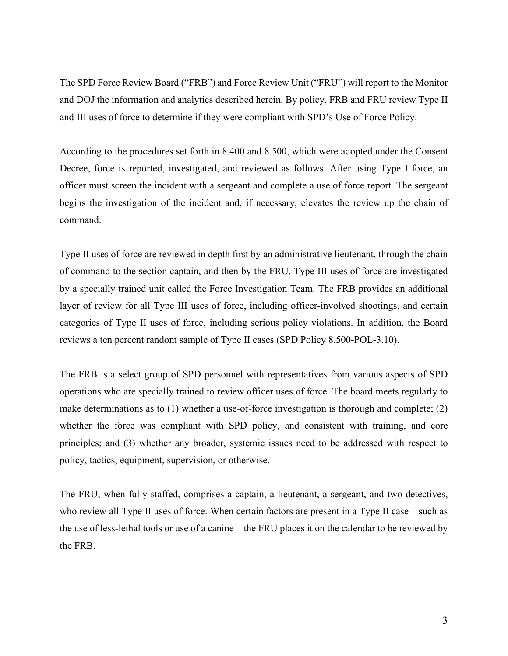The SPD Force Review Board ("FRB") and Force Review Unit ("FRU") will report to the Monitor and DOJ the information and analytics described herein. By policy, FRB and FRU review Type II and III uses of force to determine if they were compliant with SPD's Use of Force Policy.

According to the procedures set forth in 8.400 and 8.500, which were adopted under the Consent Decree, force is reported, investigated, and reviewed as follows. After using Type I force, an officer must screen the incident with a sergeant and complete a use of force report. The sergeant begins the investigation of the incident and, if necessary, elevates the review up the chain of command.

Type II uses of force are reviewed in depth first by an administrative lieutenant, through the chain of command to the section captain, and then by the FRU. Type III uses of force are investigated by a specially trained unit called the Force Investigation Team. The FRB provides an additional layer of review for all Type III uses of force, including officer-involved shootings, and certain categories of Type II uses of force, including serious policy violations. In addition, the Board reviews a ten percent random sample of Type II cases (SPD Policy 8.500-POL-3.10).

The FRB is a select group of SPD personnel with representatives from various aspects of SPD operations who are specially trained to review officer uses of force. The board meets regularly to make determinations as to (1) whether a use-of-force investigation is thorough and complete; (2) whether the force was compliant with SPD policy, and consistent with training, and core principles; and (3) whether any broader, systemic issues need to be addressed with respect to policy, tactics, equipment, supervision, or otherwise.

The FRU, when fully staffed, comprises a captain, a lieutenant, a sergeant, and two detectives, who review all Type II uses of force. When certain factors are present in a Type II case—such as the use of less-lethal tools or use of a canine—the FRU places it on the calendar to be reviewed by the FRB.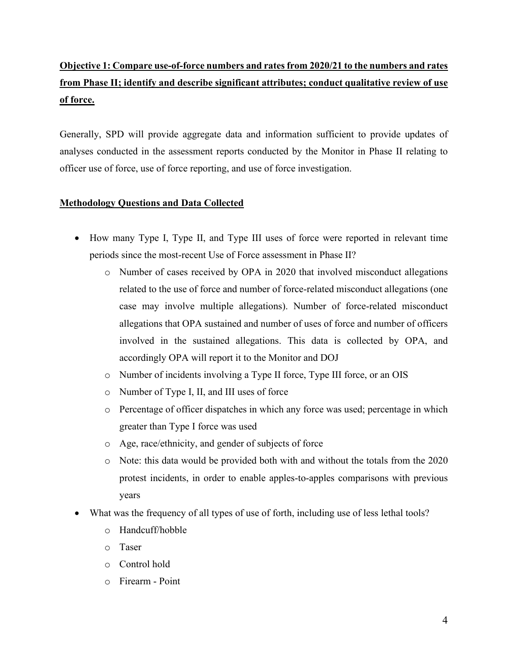# **Objective 1: Compare use-of-force numbers and rates from 2020/21 to the numbers and rates from Phase II; identify and describe significant attributes; conduct qualitative review of use of force.**

Generally, SPD will provide aggregate data and information sufficient to provide updates of analyses conducted in the assessment reports conducted by the Monitor in Phase II relating to officer use of force, use of force reporting, and use of force investigation.

## **Methodology Questions and Data Collected**

- How many Type I, Type II, and Type III uses of force were reported in relevant time periods since the most-recent Use of Force assessment in Phase II?
	- o Number of cases received by OPA in 2020 that involved misconduct allegations related to the use of force and number of force-related misconduct allegations (one case may involve multiple allegations). Number of force-related misconduct allegations that OPA sustained and number of uses of force and number of officers involved in the sustained allegations. This data is collected by OPA, and accordingly OPA will report it to the Monitor and DOJ
	- o Number of incidents involving a Type II force, Type III force, or an OIS
	- o Number of Type I, II, and III uses of force
	- o Percentage of officer dispatches in which any force was used; percentage in which greater than Type I force was used
	- o Age, race/ethnicity, and gender of subjects of force
	- o Note: this data would be provided both with and without the totals from the 2020 protest incidents, in order to enable apples-to-apples comparisons with previous years
- What was the frequency of all types of use of forth, including use of less lethal tools?
	- o Handcuff/hobble
	- o Taser
	- o Control hold
	- o Firearm Point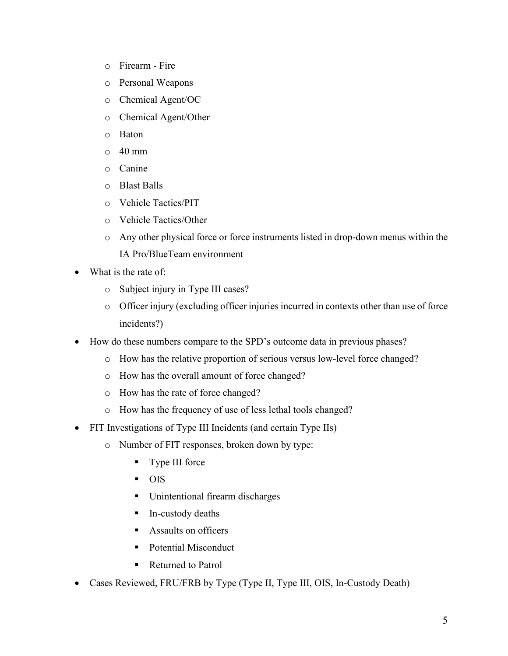- o Firearm Fire
- o Personal Weapons
- o Chemical Agent/OC
- o Chemical Agent/Other
- o Baton
- $\circ$  40 mm
- o Canine
- o Blast Balls
- o Vehicle Tactics/PIT
- o Vehicle Tactics/Other
- o Any other physical force or force instruments listed in drop-down menus within the IA Pro/BlueTeam environment
- What is the rate of:
	- o Subject injury in Type III cases?
	- o Officer injury (excluding officer injuries incurred in contexts other than use of force incidents?)
- How do these numbers compare to the SPD's outcome data in previous phases?
	- o How has the relative proportion of serious versus low-level force changed?
	- o How has the overall amount of force changed?
	- o How has the rate of force changed?
	- o How has the frequency of use of less lethal tools changed?
- FIT Investigations of Type III Incidents (and certain Type IIs)
	- o Number of FIT responses, broken down by type:
		- **Type III force**
		- **OIS**
		- **Unintentional firearm discharges**
		- **In-custody deaths**
		- **Assaults on officers**
		- Potential Misconduct
		- Returned to Patrol
- Cases Reviewed, FRU/FRB by Type (Type II, Type III, OIS, In-Custody Death)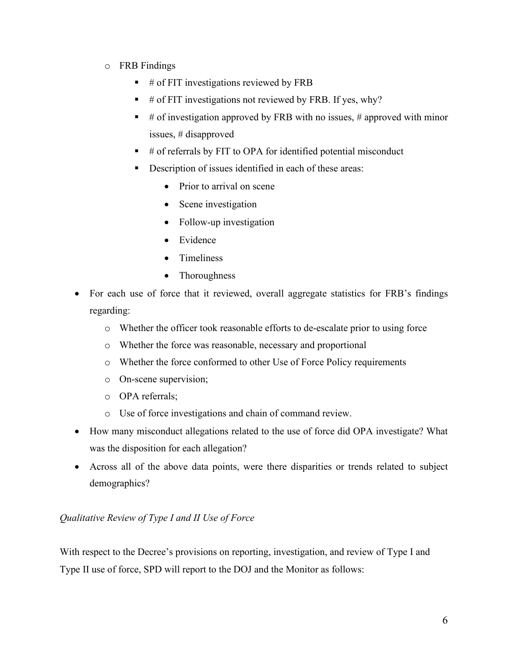- o FRB Findings
	- # of FIT investigations reviewed by FRB
	- # of FIT investigations not reviewed by FRB. If yes, why?
	- $#$  of investigation approved by FRB with no issues,  $#$  approved with minor issues, # disapproved
	- # of referrals by FIT to OPA for identified potential misconduct
	- Description of issues identified in each of these areas:
		- Prior to arrival on scene
		- Scene investigation
		- Follow-up investigation
		- Evidence
		- Timeliness
		- Thoroughness
- For each use of force that it reviewed, overall aggregate statistics for FRB's findings regarding:
	- o Whether the officer took reasonable efforts to de-escalate prior to using force
	- o Whether the force was reasonable, necessary and proportional
	- o Whether the force conformed to other Use of Force Policy requirements
	- o On-scene supervision;
	- o OPA referrals;
	- o Use of force investigations and chain of command review.
- How many misconduct allegations related to the use of force did OPA investigate? What was the disposition for each allegation?
- Across all of the above data points, were there disparities or trends related to subject demographics?

## *Qualitative Review of Type I and II Use of Force*

With respect to the Decree's provisions on reporting, investigation, and review of Type I and Type II use of force, SPD will report to the DOJ and the Monitor as follows: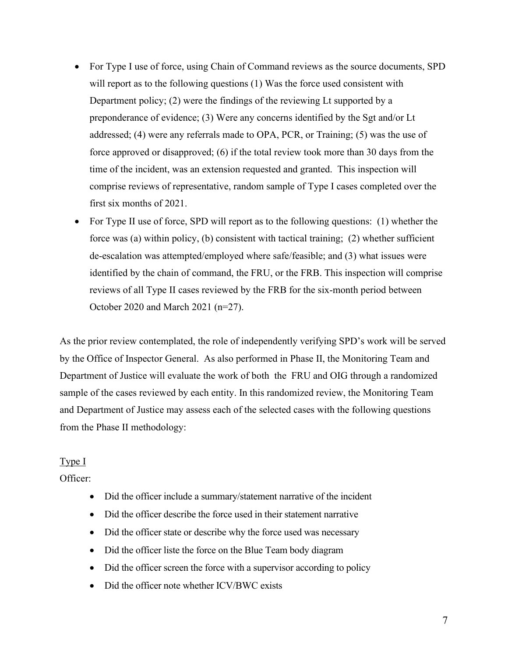- For Type I use of force, using Chain of Command reviews as the source documents, SPD will report as to the following questions (1) Was the force used consistent with Department policy; (2) were the findings of the reviewing Lt supported by a preponderance of evidence; (3) Were any concerns identified by the Sgt and/or Lt addressed; (4) were any referrals made to OPA, PCR, or Training; (5) was the use of force approved or disapproved; (6) if the total review took more than 30 days from the time of the incident, was an extension requested and granted. This inspection will comprise reviews of representative, random sample of Type I cases completed over the first six months of 2021.
- For Type II use of force, SPD will report as to the following questions: (1) whether the force was (a) within policy, (b) consistent with tactical training; (2) whether sufficient de-escalation was attempted/employed where safe/feasible; and (3) what issues were identified by the chain of command, the FRU, or the FRB. This inspection will comprise reviews of all Type II cases reviewed by the FRB for the six-month period between October 2020 and March 2021 (n=27).

As the prior review contemplated, the role of independently verifying SPD's work will be served by the Office of Inspector General. As also performed in Phase II, the Monitoring Team and Department of Justice will evaluate the work of both the FRU and OIG through a randomized sample of the cases reviewed by each entity. In this randomized review, the Monitoring Team and Department of Justice may assess each of the selected cases with the following questions from the Phase II methodology:

#### Type I

#### Officer:

- Did the officer include a summary/statement narrative of the incident
- Did the officer describe the force used in their statement narrative
- Did the officer state or describe why the force used was necessary
- Did the officer liste the force on the Blue Team body diagram
- Did the officer screen the force with a supervisor according to policy
- Did the officer note whether ICV/BWC exists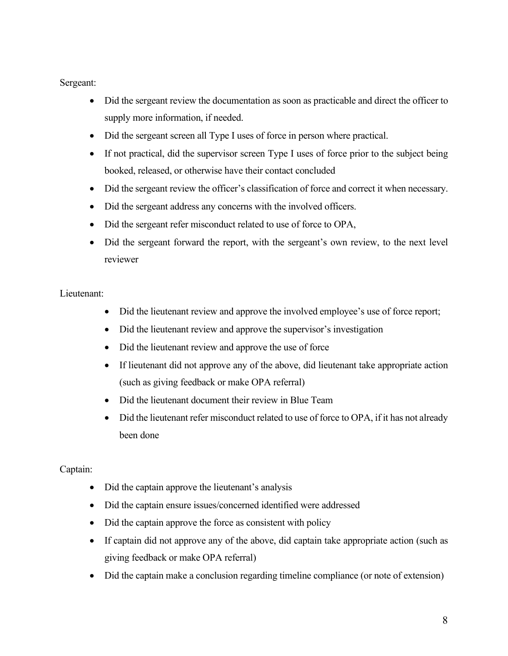#### Sergeant:

- Did the sergeant review the documentation as soon as practicable and direct the officer to supply more information, if needed.
- Did the sergeant screen all Type I uses of force in person where practical.
- If not practical, did the supervisor screen Type I uses of force prior to the subject being booked, released, or otherwise have their contact concluded
- Did the sergeant review the officer's classification of force and correct it when necessary.
- Did the sergeant address any concerns with the involved officers.
- Did the sergeant refer misconduct related to use of force to OPA,
- Did the sergeant forward the report, with the sergeant's own review, to the next level reviewer

#### Lieutenant:

- Did the lieutenant review and approve the involved employee's use of force report;
- Did the lieutenant review and approve the supervisor's investigation
- Did the lieutenant review and approve the use of force
- If lieutenant did not approve any of the above, did lieutenant take appropriate action (such as giving feedback or make OPA referral)
- Did the lieutenant document their review in Blue Team
- Did the lieutenant refer misconduct related to use of force to OPA, if it has not already been done

## Captain:

- Did the captain approve the lieutenant's analysis
- Did the captain ensure issues/concerned identified were addressed
- Did the captain approve the force as consistent with policy
- If captain did not approve any of the above, did captain take appropriate action (such as giving feedback or make OPA referral)
- Did the captain make a conclusion regarding timeline compliance (or note of extension)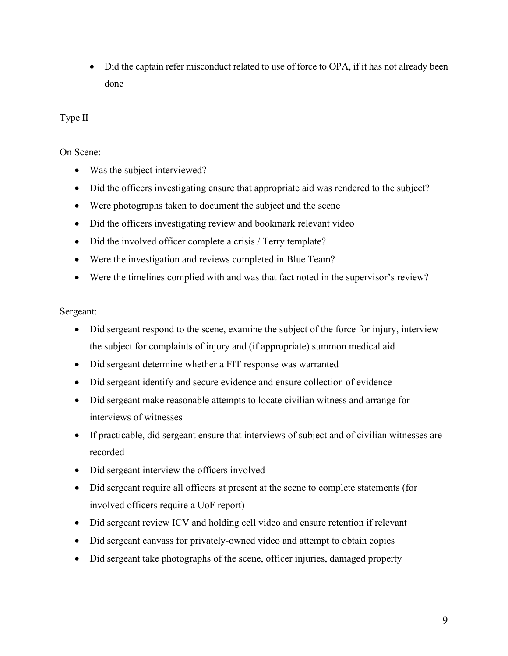• Did the captain refer misconduct related to use of force to OPA, if it has not already been done

## Type II

On Scene:

- Was the subject interviewed?
- Did the officers investigating ensure that appropriate aid was rendered to the subject?
- Were photographs taken to document the subject and the scene
- Did the officers investigating review and bookmark relevant video
- Did the involved officer complete a crisis / Terry template?
- Were the investigation and reviews completed in Blue Team?
- Were the timelines complied with and was that fact noted in the supervisor's review?

Sergeant:

- Did sergeant respond to the scene, examine the subject of the force for injury, interview the subject for complaints of injury and (if appropriate) summon medical aid
- Did sergeant determine whether a FIT response was warranted
- Did sergeant identify and secure evidence and ensure collection of evidence
- Did sergeant make reasonable attempts to locate civilian witness and arrange for interviews of witnesses
- If practicable, did sergeant ensure that interviews of subject and of civilian witnesses are recorded
- Did sergeant interview the officers involved
- Did sergeant require all officers at present at the scene to complete statements (for involved officers require a UoF report)
- Did sergeant review ICV and holding cell video and ensure retention if relevant
- Did sergeant canvass for privately-owned video and attempt to obtain copies
- Did sergeant take photographs of the scene, officer injuries, damaged property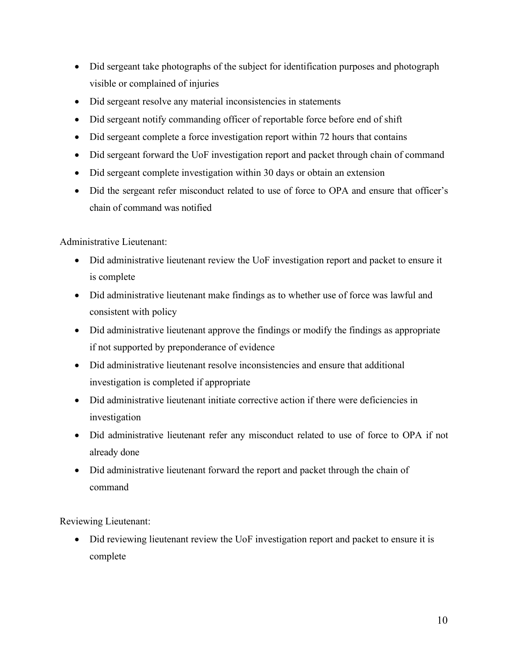- Did sergeant take photographs of the subject for identification purposes and photograph visible or complained of injuries
- Did sergeant resolve any material inconsistencies in statements
- Did sergeant notify commanding officer of reportable force before end of shift
- Did sergeant complete a force investigation report within 72 hours that contains
- Did sergeant forward the UoF investigation report and packet through chain of command
- Did sergeant complete investigation within 30 days or obtain an extension
- Did the sergeant refer misconduct related to use of force to OPA and ensure that officer's chain of command was notified

Administrative Lieutenant:

- Did administrative lieutenant review the UoF investigation report and packet to ensure it is complete
- Did administrative lieutenant make findings as to whether use of force was lawful and consistent with policy
- Did administrative lieutenant approve the findings or modify the findings as appropriate if not supported by preponderance of evidence
- Did administrative lieutenant resolve inconsistencies and ensure that additional investigation is completed if appropriate
- Did administrative lieutenant initiate corrective action if there were deficiencies in investigation
- Did administrative lieutenant refer any misconduct related to use of force to OPA if not already done
- Did administrative lieutenant forward the report and packet through the chain of command

Reviewing Lieutenant:

• Did reviewing lieutenant review the UoF investigation report and packet to ensure it is complete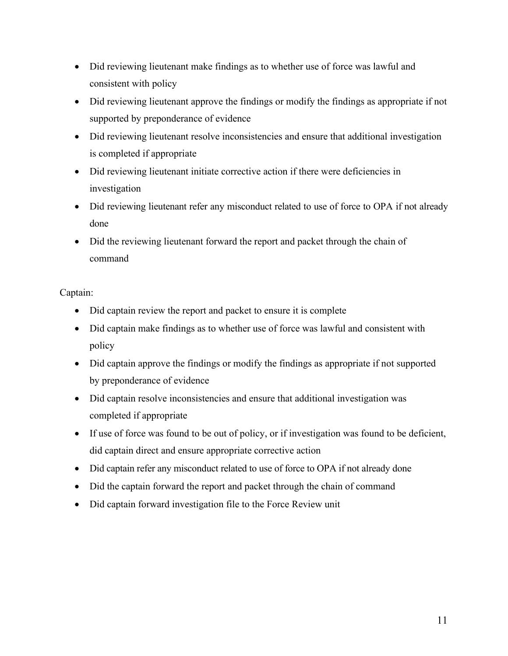- Did reviewing lieutenant make findings as to whether use of force was lawful and consistent with policy
- Did reviewing lieutenant approve the findings or modify the findings as appropriate if not supported by preponderance of evidence
- Did reviewing lieutenant resolve inconsistencies and ensure that additional investigation is completed if appropriate
- Did reviewing lieutenant initiate corrective action if there were deficiencies in investigation
- Did reviewing lieutenant refer any misconduct related to use of force to OPA if not already done
- Did the reviewing lieutenant forward the report and packet through the chain of command

## Captain:

- Did captain review the report and packet to ensure it is complete
- Did captain make findings as to whether use of force was lawful and consistent with policy
- Did captain approve the findings or modify the findings as appropriate if not supported by preponderance of evidence
- Did captain resolve inconsistencies and ensure that additional investigation was completed if appropriate
- If use of force was found to be out of policy, or if investigation was found to be deficient, did captain direct and ensure appropriate corrective action
- Did captain refer any misconduct related to use of force to OPA if not already done
- Did the captain forward the report and packet through the chain of command
- Did captain forward investigation file to the Force Review unit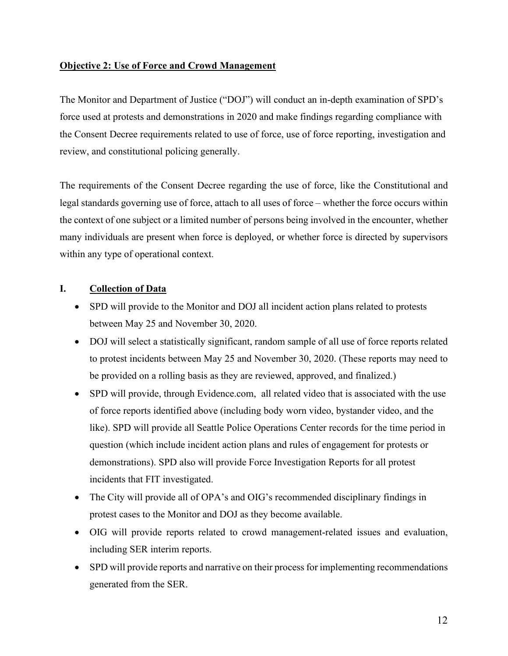## **Objective 2: Use of Force and Crowd Management**

The Monitor and Department of Justice ("DOJ") will conduct an in-depth examination of SPD's force used at protests and demonstrations in 2020 and make findings regarding compliance with the Consent Decree requirements related to use of force, use of force reporting, investigation and review, and constitutional policing generally.

The requirements of the Consent Decree regarding the use of force, like the Constitutional and legal standards governing use of force, attach to all uses of force – whether the force occurs within the context of one subject or a limited number of persons being involved in the encounter, whether many individuals are present when force is deployed, or whether force is directed by supervisors within any type of operational context.

## **I. Collection of Data**

- SPD will provide to the Monitor and DOJ all incident action plans related to protests between May 25 and November 30, 2020.
- DOJ will select a statistically significant, random sample of all use of force reports related to protest incidents between May 25 and November 30, 2020. (These reports may need to be provided on a rolling basis as they are reviewed, approved, and finalized.)
- SPD will provide, through Evidence.com, all related video that is associated with the use of force reports identified above (including body worn video, bystander video, and the like). SPD will provide all Seattle Police Operations Center records for the time period in question (which include incident action plans and rules of engagement for protests or demonstrations). SPD also will provide Force Investigation Reports for all protest incidents that FIT investigated.
- The City will provide all of OPA's and OIG's recommended disciplinary findings in protest cases to the Monitor and DOJ as they become available.
- OIG will provide reports related to crowd management-related issues and evaluation, including SER interim reports.
- SPD will provide reports and narrative on their process for implementing recommendations generated from the SER.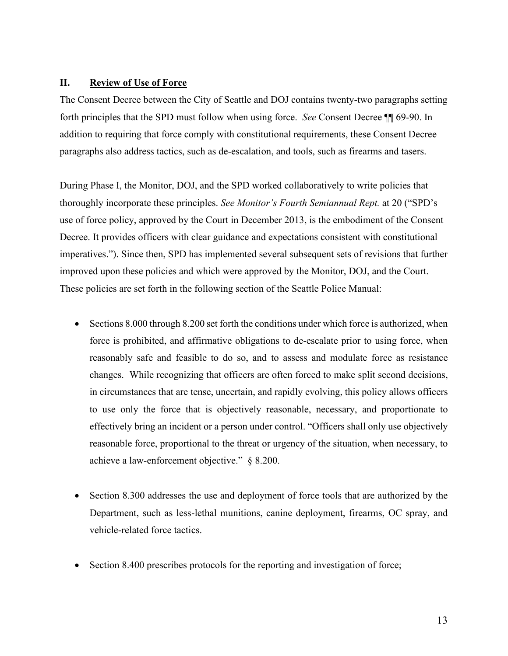#### **II. Review of Use of Force**

The Consent Decree between the City of Seattle and DOJ contains twenty-two paragraphs setting forth principles that the SPD must follow when using force. *See* Consent Decree ¶¶ 69-90. In addition to requiring that force comply with constitutional requirements, these Consent Decree paragraphs also address tactics, such as de-escalation, and tools, such as firearms and tasers.

During Phase I, the Monitor, DOJ, and the SPD worked collaboratively to write policies that thoroughly incorporate these principles. *See Monitor's Fourth Semiannual Rept.* at 20 ("SPD's use of force policy, approved by the Court in December 2013, is the embodiment of the Consent Decree. It provides officers with clear guidance and expectations consistent with constitutional imperatives."). Since then, SPD has implemented several subsequent sets of revisions that further improved upon these policies and which were approved by the Monitor, DOJ, and the Court. These policies are set forth in the following section of the Seattle Police Manual:

- Sections 8.000 through 8.200 set forth the conditions under which force is authorized, when force is prohibited, and affirmative obligations to de-escalate prior to using force, when reasonably safe and feasible to do so, and to assess and modulate force as resistance changes. While recognizing that officers are often forced to make split second decisions, in circumstances that are tense, uncertain, and rapidly evolving, this policy allows officers to use only the force that is objectively reasonable, necessary, and proportionate to effectively bring an incident or a person under control. "Officers shall only use objectively reasonable force, proportional to the threat or urgency of the situation, when necessary, to achieve a law-enforcement objective." § 8.200.
- Section 8.300 addresses the use and deployment of force tools that are authorized by the Department, such as less-lethal munitions, canine deployment, firearms, OC spray, and vehicle-related force tactics.
- Section 8.400 prescribes protocols for the reporting and investigation of force;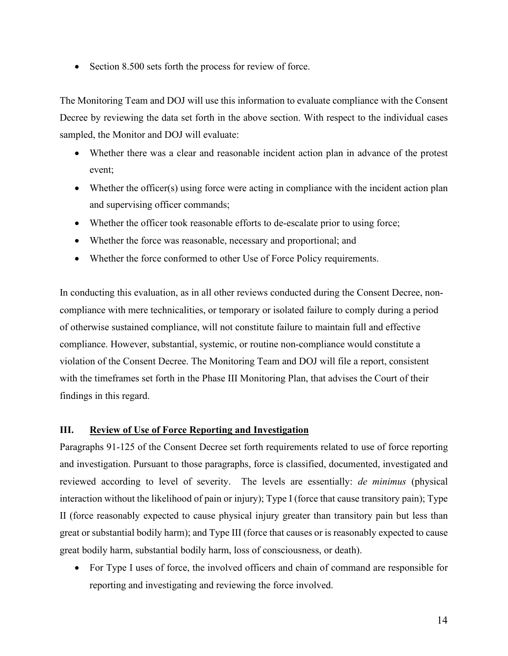• Section 8.500 sets forth the process for review of force.

The Monitoring Team and DOJ will use this information to evaluate compliance with the Consent Decree by reviewing the data set forth in the above section. With respect to the individual cases sampled, the Monitor and DOJ will evaluate:

- Whether there was a clear and reasonable incident action plan in advance of the protest event;
- Whether the officer(s) using force were acting in compliance with the incident action plan and supervising officer commands;
- Whether the officer took reasonable efforts to de-escalate prior to using force;
- Whether the force was reasonable, necessary and proportional; and
- Whether the force conformed to other Use of Force Policy requirements.

In conducting this evaluation, as in all other reviews conducted during the Consent Decree, noncompliance with mere technicalities, or temporary or isolated failure to comply during a period of otherwise sustained compliance, will not constitute failure to maintain full and effective compliance. However, substantial, systemic, or routine non-compliance would constitute a violation of the Consent Decree. The Monitoring Team and DOJ will file a report, consistent with the timeframes set forth in the Phase III Monitoring Plan, that advises the Court of their findings in this regard.

## **III. Review of Use of Force Reporting and Investigation**

Paragraphs 91-125 of the Consent Decree set forth requirements related to use of force reporting and investigation. Pursuant to those paragraphs, force is classified, documented, investigated and reviewed according to level of severity. The levels are essentially: *de minimus* (physical interaction without the likelihood of pain or injury); Type I (force that cause transitory pain); Type II (force reasonably expected to cause physical injury greater than transitory pain but less than great or substantial bodily harm); and Type III (force that causes or is reasonably expected to cause great bodily harm, substantial bodily harm, loss of consciousness, or death).

• For Type I uses of force, the involved officers and chain of command are responsible for reporting and investigating and reviewing the force involved.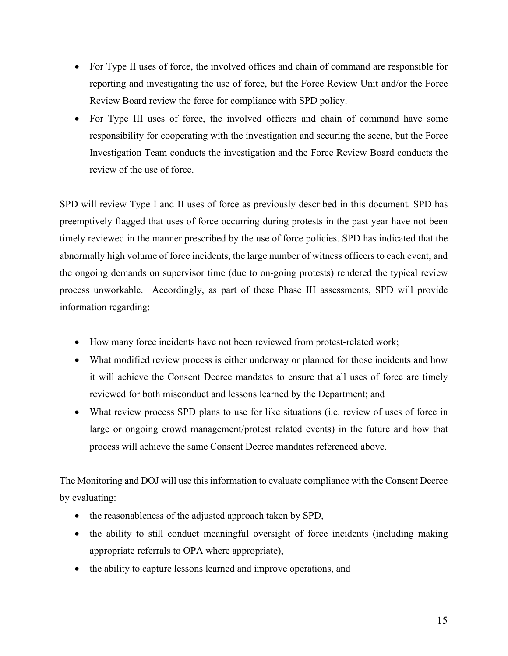- For Type II uses of force, the involved offices and chain of command are responsible for reporting and investigating the use of force, but the Force Review Unit and/or the Force Review Board review the force for compliance with SPD policy.
- For Type III uses of force, the involved officers and chain of command have some responsibility for cooperating with the investigation and securing the scene, but the Force Investigation Team conducts the investigation and the Force Review Board conducts the review of the use of force.

SPD will review Type I and II uses of force as previously described in this document. SPD has preemptively flagged that uses of force occurring during protests in the past year have not been timely reviewed in the manner prescribed by the use of force policies. SPD has indicated that the abnormally high volume of force incidents, the large number of witness officers to each event, and the ongoing demands on supervisor time (due to on-going protests) rendered the typical review process unworkable. Accordingly, as part of these Phase III assessments, SPD will provide information regarding:

- How many force incidents have not been reviewed from protest-related work;
- What modified review process is either underway or planned for those incidents and how it will achieve the Consent Decree mandates to ensure that all uses of force are timely reviewed for both misconduct and lessons learned by the Department; and
- What review process SPD plans to use for like situations (i.e. review of uses of force in large or ongoing crowd management/protest related events) in the future and how that process will achieve the same Consent Decree mandates referenced above.

The Monitoring and DOJ will use this information to evaluate compliance with the Consent Decree by evaluating:

- the reasonableness of the adjusted approach taken by SPD,
- the ability to still conduct meaningful oversight of force incidents (including making appropriate referrals to OPA where appropriate),
- the ability to capture lessons learned and improve operations, and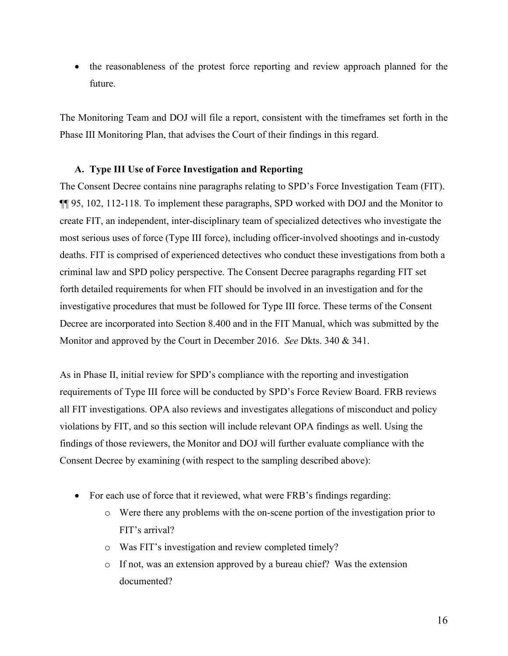• the reasonableness of the protest force reporting and review approach planned for the future.

The Monitoring Team and DOJ will file a report, consistent with the timeframes set forth in the Phase III Monitoring Plan, that advises the Court of their findings in this regard.

#### **A. Type III Use of Force Investigation and Reporting**

The Consent Decree contains nine paragraphs relating to SPD's Force Investigation Team (FIT). ¶¶ 95, 102, 112-118. To implement these paragraphs, SPD worked with DOJ and the Monitor to create FIT, an independent, inter-disciplinary team of specialized detectives who investigate the most serious uses of force (Type III force), including officer-involved shootings and in-custody deaths. FIT is comprised of experienced detectives who conduct these investigations from both a criminal law and SPD policy perspective. The Consent Decree paragraphs regarding FIT set forth detailed requirements for when FIT should be involved in an investigation and for the investigative procedures that must be followed for Type III force. These terms of the Consent Decree are incorporated into Section 8.400 and in the FIT Manual, which was submitted by the Monitor and approved by the Court in December 2016. *See* Dkts. 340 & 341.

As in Phase II, initial review for SPD's compliance with the reporting and investigation requirements of Type III force will be conducted by SPD's Force Review Board. FRB reviews all FIT investigations. OPA also reviews and investigates allegations of misconduct and policy violations by FIT, and so this section will include relevant OPA findings as well. Using the findings of those reviewers, the Monitor and DOJ will further evaluate compliance with the Consent Decree by examining (with respect to the sampling described above):

- For each use of force that it reviewed, what were FRB's findings regarding:
	- o Were there any problems with the on-scene portion of the investigation prior to FIT's arrival?
	- o Was FIT's investigation and review completed timely?
	- o If not, was an extension approved by a bureau chief? Was the extension documented?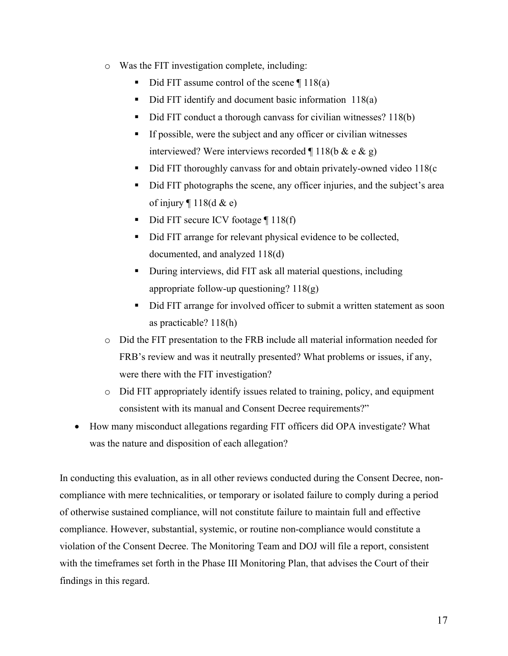- o Was the FIT investigation complete, including:
	- Did FIT assume control of the scene ¶ 118(a)
	- Did FIT identify and document basic information 118(a)
	- Did FIT conduct a thorough canvass for civilian witnesses? 118(b)
	- If possible, were the subject and any officer or civilian witnesses interviewed? Were interviews recorded  $\P$  118(b & e & g)
	- Did FIT thoroughly canvass for and obtain privately-owned video 118(c
	- Did FIT photographs the scene, any officer injuries, and the subject's area of injury  $\P$  118(d & e)
	- $\blacksquare$  Did FIT secure ICV footage  $\P$  118(f)
	- Did FIT arrange for relevant physical evidence to be collected, documented, and analyzed 118(d)
	- During interviews, did FIT ask all material questions, including appropriate follow-up questioning? 118(g)
	- Did FIT arrange for involved officer to submit a written statement as soon as practicable? 118(h)
- o Did the FIT presentation to the FRB include all material information needed for FRB's review and was it neutrally presented? What problems or issues, if any, were there with the FIT investigation?
- o Did FIT appropriately identify issues related to training, policy, and equipment consistent with its manual and Consent Decree requirements?"
- How many misconduct allegations regarding FIT officers did OPA investigate? What was the nature and disposition of each allegation?

In conducting this evaluation, as in all other reviews conducted during the Consent Decree, noncompliance with mere technicalities, or temporary or isolated failure to comply during a period of otherwise sustained compliance, will not constitute failure to maintain full and effective compliance. However, substantial, systemic, or routine non-compliance would constitute a violation of the Consent Decree. The Monitoring Team and DOJ will file a report, consistent with the timeframes set forth in the Phase III Monitoring Plan, that advises the Court of their findings in this regard.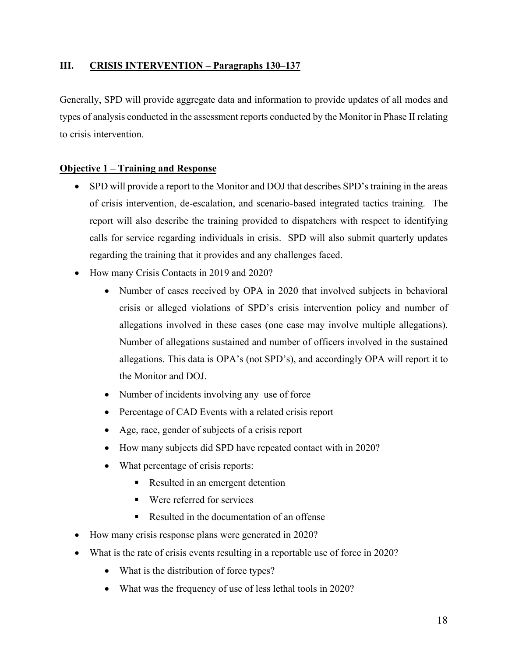## **III. CRISIS INTERVENTION – Paragraphs 130–137**

Generally, SPD will provide aggregate data and information to provide updates of all modes and types of analysis conducted in the assessment reports conducted by the Monitor in Phase II relating to crisis intervention.

## **Objective 1 – Training and Response**

- SPD will provide a report to the Monitor and DOJ that describes SPD's training in the areas of crisis intervention, de-escalation, and scenario-based integrated tactics training. The report will also describe the training provided to dispatchers with respect to identifying calls for service regarding individuals in crisis. SPD will also submit quarterly updates regarding the training that it provides and any challenges faced.
- How many Crisis Contacts in 2019 and 2020?
	- Number of cases received by OPA in 2020 that involved subjects in behavioral crisis or alleged violations of SPD's crisis intervention policy and number of allegations involved in these cases (one case may involve multiple allegations). Number of allegations sustained and number of officers involved in the sustained allegations. This data is OPA's (not SPD's), and accordingly OPA will report it to the Monitor and DOJ.
	- Number of incidents involving any use of force
	- Percentage of CAD Events with a related crisis report
	- Age, race, gender of subjects of a crisis report
	- How many subjects did SPD have repeated contact with in 2020?
	- What percentage of crisis reports:
		- Resulted in an emergent detention
		- Were referred for services
		- Resulted in the documentation of an offense
- How many crisis response plans were generated in 2020?
- What is the rate of crisis events resulting in a reportable use of force in 2020?
	- What is the distribution of force types?
	- What was the frequency of use of less lethal tools in 2020?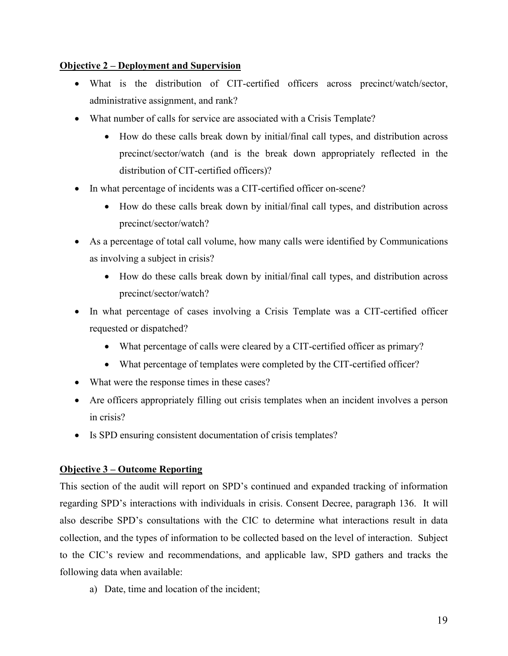#### **Objective 2 – Deployment and Supervision**

- What is the distribution of CIT-certified officers across precinct/watch/sector, administrative assignment, and rank?
- What number of calls for service are associated with a Crisis Template?
	- How do these calls break down by initial/final call types, and distribution across precinct/sector/watch (and is the break down appropriately reflected in the distribution of CIT-certified officers)?
- In what percentage of incidents was a CIT-certified officer on-scene?
	- How do these calls break down by initial/final call types, and distribution across precinct/sector/watch?
- As a percentage of total call volume, how many calls were identified by Communications as involving a subject in crisis?
	- How do these calls break down by initial/final call types, and distribution across precinct/sector/watch?
- In what percentage of cases involving a Crisis Template was a CIT-certified officer requested or dispatched?
	- What percentage of calls were cleared by a CIT-certified officer as primary?
	- What percentage of templates were completed by the CIT-certified officer?
- What were the response times in these cases?
- Are officers appropriately filling out crisis templates when an incident involves a person in crisis?
- Is SPD ensuring consistent documentation of crisis templates?

## **Objective 3 – Outcome Reporting**

This section of the audit will report on SPD's continued and expanded tracking of information regarding SPD's interactions with individuals in crisis. Consent Decree, paragraph 136. It will also describe SPD's consultations with the CIC to determine what interactions result in data collection, and the types of information to be collected based on the level of interaction. Subject to the CIC's review and recommendations, and applicable law, SPD gathers and tracks the following data when available:

a) Date, time and location of the incident;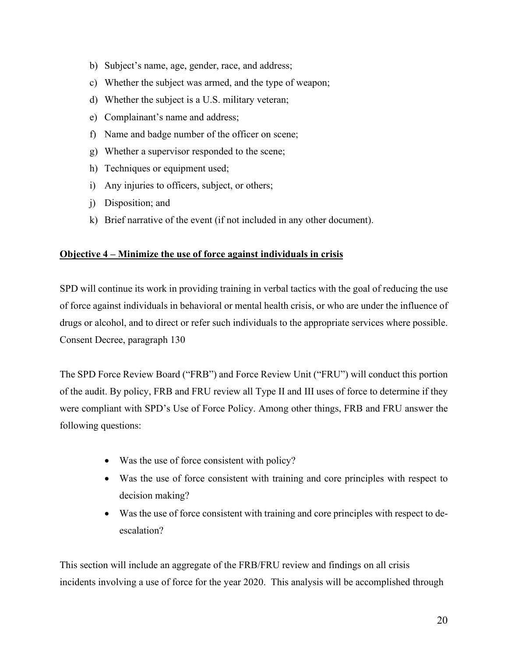- b) Subject's name, age, gender, race, and address;
- c) Whether the subject was armed, and the type of weapon;
- d) Whether the subject is a U.S. military veteran;
- e) Complainant's name and address;
- f) Name and badge number of the officer on scene;
- g) Whether a supervisor responded to the scene;
- h) Techniques or equipment used;
- i) Any injuries to officers, subject, or others;
- j) Disposition; and
- k) Brief narrative of the event (if not included in any other document).

#### **Objective 4 – Minimize the use of force against individuals in crisis**

SPD will continue its work in providing training in verbal tactics with the goal of reducing the use of force against individuals in behavioral or mental health crisis, or who are under the influence of drugs or alcohol, and to direct or refer such individuals to the appropriate services where possible. Consent Decree, paragraph 130

The SPD Force Review Board ("FRB") and Force Review Unit ("FRU") will conduct this portion of the audit. By policy, FRB and FRU review all Type II and III uses of force to determine if they were compliant with SPD's Use of Force Policy. Among other things, FRB and FRU answer the following questions:

- Was the use of force consistent with policy?
- Was the use of force consistent with training and core principles with respect to decision making?
- Was the use of force consistent with training and core principles with respect to deescalation?

This section will include an aggregate of the FRB/FRU review and findings on all crisis incidents involving a use of force for the year 2020. This analysis will be accomplished through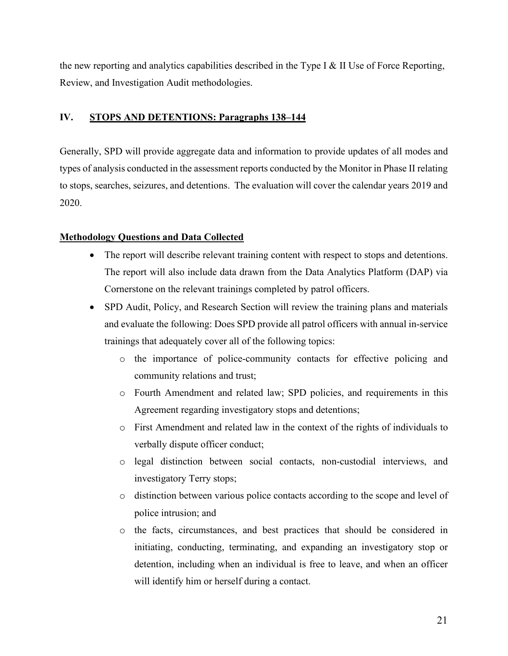the new reporting and analytics capabilities described in the Type I & II Use of Force Reporting, Review, and Investigation Audit methodologies.

#### **IV. STOPS AND DETENTIONS: Paragraphs 138–144**

Generally, SPD will provide aggregate data and information to provide updates of all modes and types of analysis conducted in the assessment reports conducted by the Monitor in Phase II relating to stops, searches, seizures, and detentions. The evaluation will cover the calendar years 2019 and 2020.

#### **Methodology Questions and Data Collected**

- The report will describe relevant training content with respect to stops and detentions. The report will also include data drawn from the Data Analytics Platform (DAP) via Cornerstone on the relevant trainings completed by patrol officers.
- SPD Audit, Policy, and Research Section will review the training plans and materials and evaluate the following: Does SPD provide all patrol officers with annual in-service trainings that adequately cover all of the following topics:
	- o the importance of police-community contacts for effective policing and community relations and trust;
	- o Fourth Amendment and related law; SPD policies, and requirements in this Agreement regarding investigatory stops and detentions;
	- o First Amendment and related law in the context of the rights of individuals to verbally dispute officer conduct;
	- o legal distinction between social contacts, non-custodial interviews, and investigatory Terry stops;
	- o distinction between various police contacts according to the scope and level of police intrusion; and
	- o the facts, circumstances, and best practices that should be considered in initiating, conducting, terminating, and expanding an investigatory stop or detention, including when an individual is free to leave, and when an officer will identify him or herself during a contact.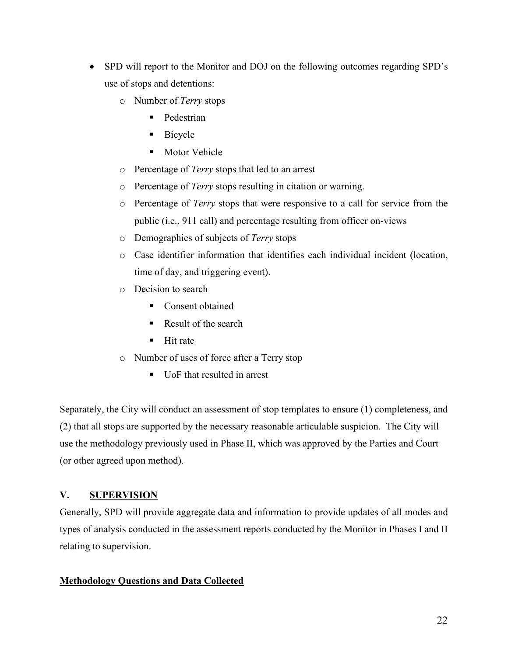- SPD will report to the Monitor and DOJ on the following outcomes regarding SPD's use of stops and detentions:
	- o Number of *Terry* stops
		- **Pedestrian**
		- Bicycle
		- **Motor Vehicle**
	- o Percentage of *Terry* stops that led to an arrest
	- o Percentage of *Terry* stops resulting in citation or warning.
	- o Percentage of *Terry* stops that were responsive to a call for service from the public (i.e., 911 call) and percentage resulting from officer on-views
	- o Demographics of subjects of *Terry* stops
	- o Case identifier information that identifies each individual incident (location, time of day, and triggering event).
	- o Decision to search
		- Consent obtained
		- Result of the search
		- $H$ it rate
	- o Number of uses of force after a Terry stop
		- UoF that resulted in arrest

Separately, the City will conduct an assessment of stop templates to ensure (1) completeness, and (2) that all stops are supported by the necessary reasonable articulable suspicion. The City will use the methodology previously used in Phase II, which was approved by the Parties and Court (or other agreed upon method).

## **V. SUPERVISION**

Generally, SPD will provide aggregate data and information to provide updates of all modes and types of analysis conducted in the assessment reports conducted by the Monitor in Phases I and II relating to supervision.

## **Methodology Questions and Data Collected**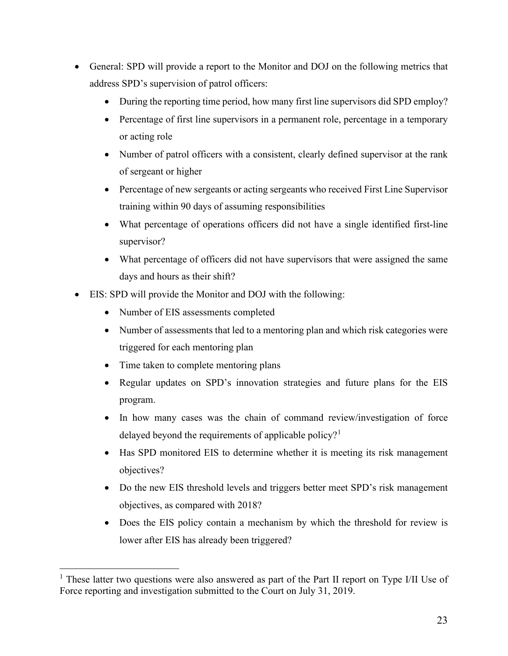- General: SPD will provide a report to the Monitor and DOJ on the following metrics that address SPD's supervision of patrol officers:
	- During the reporting time period, how many first line supervisors did SPD employ?
	- Percentage of first line supervisors in a permanent role, percentage in a temporary or acting role
	- Number of patrol officers with a consistent, clearly defined supervisor at the rank of sergeant or higher
	- Percentage of new sergeants or acting sergeants who received First Line Supervisor training within 90 days of assuming responsibilities
	- What percentage of operations officers did not have a single identified first-line supervisor?
	- What percentage of officers did not have supervisors that were assigned the same days and hours as their shift?
- EIS: SPD will provide the Monitor and DOJ with the following:
	- Number of EIS assessments completed
	- Number of assessments that led to a mentoring plan and which risk categories were triggered for each mentoring plan
	- Time taken to complete mentoring plans
	- Regular updates on SPD's innovation strategies and future plans for the EIS program.
	- In how many cases was the chain of command review/investigation of force delayed beyond the requirements of applicable policy?<sup>[1](#page-22-0)</sup>
	- Has SPD monitored EIS to determine whether it is meeting its risk management objectives?
	- Do the new EIS threshold levels and triggers better meet SPD's risk management objectives, as compared with 2018?
	- Does the EIS policy contain a mechanism by which the threshold for review is lower after EIS has already been triggered?

<span id="page-22-0"></span> $<sup>1</sup>$  These latter two questions were also answered as part of the Part II report on Type I/II Use of</sup> Force reporting and investigation submitted to the Court on July 31, 2019.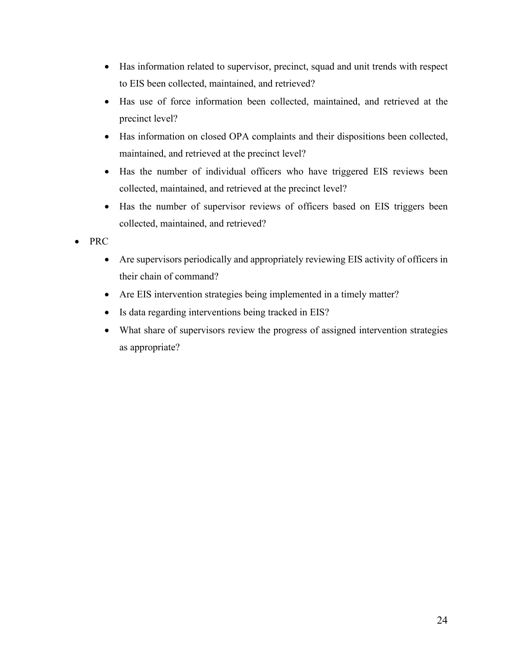- Has information related to supervisor, precinct, squad and unit trends with respect to EIS been collected, maintained, and retrieved?
- Has use of force information been collected, maintained, and retrieved at the precinct level?
- Has information on closed OPA complaints and their dispositions been collected, maintained, and retrieved at the precinct level?
- Has the number of individual officers who have triggered EIS reviews been collected, maintained, and retrieved at the precinct level?
- Has the number of supervisor reviews of officers based on EIS triggers been collected, maintained, and retrieved?
- PRC
	- Are supervisors periodically and appropriately reviewing EIS activity of officers in their chain of command?
	- Are EIS intervention strategies being implemented in a timely matter?
	- Is data regarding interventions being tracked in EIS?
	- What share of supervisors review the progress of assigned intervention strategies as appropriate?